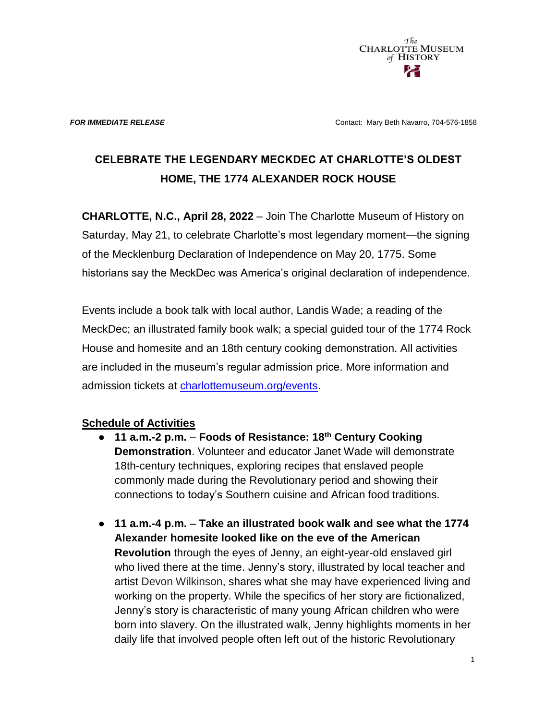

**FOR IMMEDIATE RELEASE CONTACT CONTACT: Mary Beth Navarro, 704-576-1858** 

## **CELEBRATE THE LEGENDARY MECKDEC AT CHARLOTTE'S OLDEST HOME, THE 1774 ALEXANDER ROCK HOUSE**

**CHARLOTTE, N.C., April 28, 2022** – Join The Charlotte Museum of History on Saturday, May 21, to celebrate Charlotte's most legendary moment—the signing of the Mecklenburg Declaration of Independence on May 20, 1775. Some historians say the MeckDec was America's original declaration of independence.

Events include a book talk with local author, Landis Wade; a reading of the MeckDec; an illustrated family book walk; a special guided tour of the 1774 Rock House and homesite and an 18th century cooking demonstration. All activities are included in the museum's regular admission price. More information and admission tickets at [charlottemuseum.org/events.](https://charlottemuseum.org/tc-events/)

## **Schedule of Activities**

- **11 a.m.-2 p.m. Foods of Resistance: 18th Century Cooking Demonstration**. Volunteer and educator Janet Wade will demonstrate 18th-century techniques, exploring recipes that enslaved people commonly made during the Revolutionary period and showing their connections to today's Southern cuisine and African food traditions.
- **11 a.m.-4 p.m. Take an illustrated book walk and see what the 1774 Alexander homesite looked like on the eve of the American Revolution** through the eyes of Jenny, an eight-year-old enslaved girl who lived there at the time. Jenny's story, illustrated by local teacher and artist Devon Wilkinson, shares what she may have experienced living and working on the property. While the specifics of her story are fictionalized, Jenny's story is characteristic of many young African children who were born into slavery. On the illustrated walk, Jenny highlights moments in her daily life that involved people often left out of the historic Revolutionary